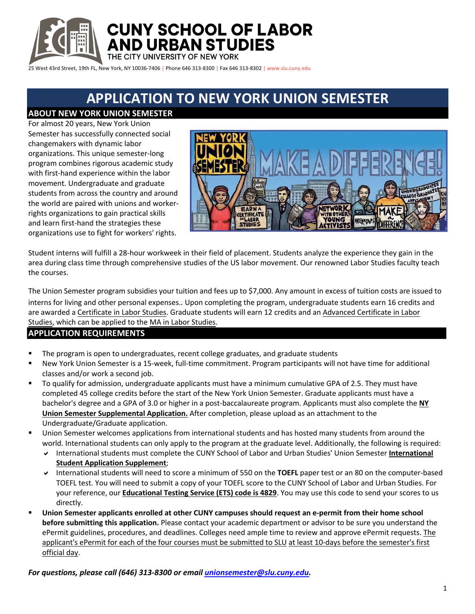

**CUNY SCHOOL OF LABOR AND URBAN STUDIES** 

THE CITY UNIVERSITY OF NEW YORK

25 West 43rd Street, 19th FL, New York, NY 10036-7406 | Phone 646 313-8300 | Fax 646 313-8302 | www.slu.cuny.edu

# **APPLICATION TO NEW YORK UNION SEMESTER**

**ABOUT NEW YORK UNION SEMESTER** 

For almost 20 years, New York Union Semester has successfully connected social changemakers with dynamic labor organizations. This unique semester-long program combines rigorous academic study with first-hand experience within the labor movement. Undergraduate and graduate students from across the country and around the world are paired with unions and workerrights organizations to gain practical skills and learn first-hand the strategies these organizations use to fight for workers' rights.



Student interns will fulfill a 28-hour workweek in their field of placement. Students analyze the experience they gain in the area during class time through comprehensive studies of the US labor movement. Our renowned Labor Studies faculty teach the courses.

The Union Semester program subsidies your tuition and fees up to \$7,000. Any amount in excess of tuition costs are issued to interns for living and other personal expenses.. Upon completing the program, undergraduate students earn 16 credits and are awarded a Certificate in Labor Studies. Graduate students will earn 12 credits and an Advanced Certificate in Labor Studies, which can be applied to the MA in Labor Studies.

## **APPLICATION REQUIREMENTS**

- The program is open to undergraduates, recent college graduates, and graduate students
- New York Union Semester is a 15-week, full-time commitment. Program participants will not have time for additional classes and/or work a second job.
- To qualify for admission, undergraduate applicants must have a minimum cumulative GPA of 2.5. They must have completed 45 college credits before the start of the New York Union Semester. Graduate applicants must have a bachelor's degree and a GPA of 3.0 or higher in a post-baccalaureate program. Applicants must also complete the **NY Union Semester Supplemental Application.** After completion, please upload as an attachment to the Undergraduate/Graduate application.
- Union Semester welcomes applications from international students and has hosted many students from around the world. International students can only apply to the program at the graduate level. Additionally, the following is required:
	- a International students must complete the CUNY School of Labor and Urban Studies' Union Semester **International Student Application Supplement**;
	- a International students will need to score a minimum of 550 on the **TOEFL** paper test or an 80 on the computer-based TOEFL test. You will need to submit a copy of your TOEFL score to the CUNY School of Labor and Urban Studies. For your reference, our **Educational Testing Service (ETS) code is 4829**. You may use this code to send your scores to us directly.
- § **Union Semester applicants enrolled at other CUNY campuses should request an e-permit from their home school before submitting this application.** Please contact your academic department or advisor to be sure you understand the ePermit guidelines, procedures, and deadlines. Colleges need ample time to review and approve ePermit requests. The applicant's ePermit for each of the four courses must be submitted to SLU at least 10-days before the semester's first official day.

*For questions, please call (646) 313-8300 or email unionsemester@slu.cuny.edu.*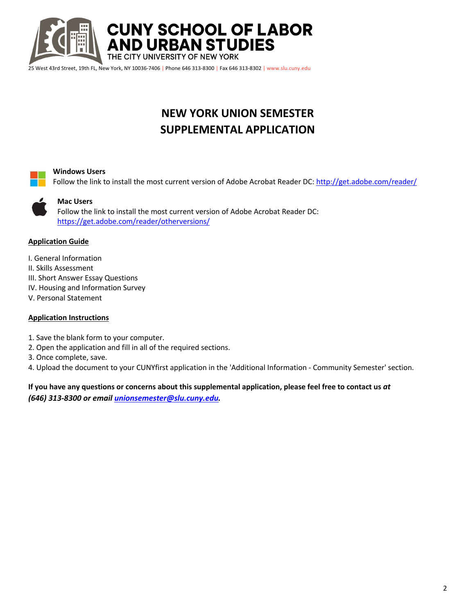

## **NEW YORK UNION SEMESTER SUPPLEMENTAL APPLICATION**



#### **Windows Users**

Follow the link to install the most current version of Adobe Acrobat Reader DC: http://get.adobe.com/reader/



### **Mac Users**

Follow the link to install the most current version of Adobe Acrobat Reader DC: https://get.adobe.com/reader/otherversions/

### **Application Guide**

- I. General Information
- II. Skills Assessment
- III. Short Answer Essay Questions
- IV. Housing and Information Survey
- V. Personal Statement

## **Application Instructions**

- 1. Save the blank form to your computer.
- 2. Open the application and fill in all of the required sections.
- 3. Once complete, save.
- 4. Upload the document to your CUNYfirst application in the 'Additional Information Community Semester' section.

**If you have any questions or concerns about this supplemental application, please feel free to contact us** *at (646) 313-8300 or email unionsemester@slu.cuny.edu.*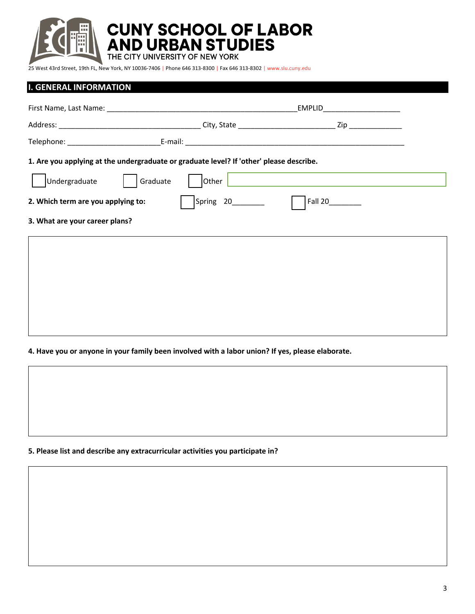

**CUNY SCHOOL OF LABOR<br>AND URBAN STUDIES<br>THE CITY UNIVERSITY OF NEW YORK** 

25 West 43rd Street, 19th FL, New York, NY 10036-7406 | Phone 646 313-8300 | Fax 646 313-8302 | www.slu.cuny.edu

## **I. GENERAL INFORMATION**

|                                                                                         |                       | EMPLID           |  |
|-----------------------------------------------------------------------------------------|-----------------------|------------------|--|
|                                                                                         |                       |                  |  |
|                                                                                         |                       |                  |  |
| 1. Are you applying at the undergraduate or graduate level? If 'other' please describe. |                       |                  |  |
| Undergraduate<br>Graduate                                                               | $\vert$ Other $\vert$ |                  |  |
| 2. Which term are you applying to:                                                      | Spring 20________     | Fall 20_________ |  |
| 3. What are your career plans?                                                          |                       |                  |  |
|                                                                                         |                       |                  |  |
|                                                                                         |                       |                  |  |
|                                                                                         |                       |                  |  |

**4. Have you or anyone in your family been involved with a labor union? If yes, please elaborate.**

**5. Please list and describe any extracurricular activities you participate in?**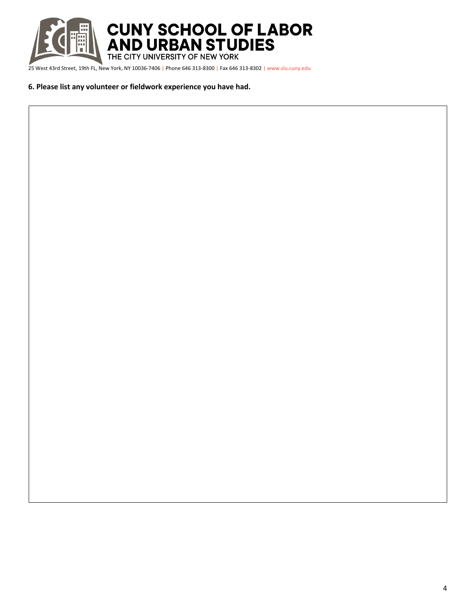

### **6. Please list any volunteer or fieldwork experience you have had.**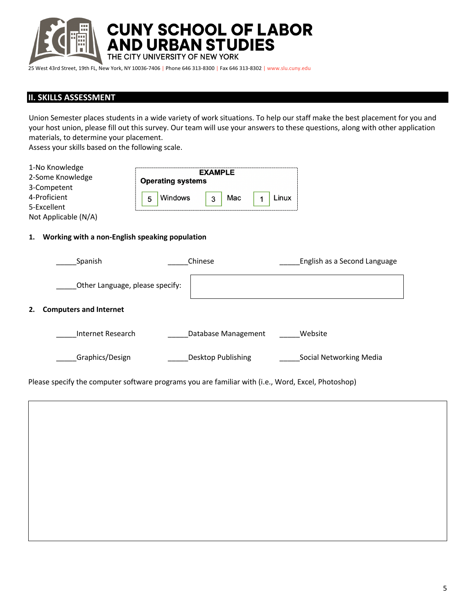

**CUNY SCHOOL OF LABOR<br>AND URBAN STUDIES<br>THE CITY UNIVERSITY OF NEW YORK** 

25 West 43rd Street, 19th FL, New York, NY 10036-7406 | Phone 646 313-8300 | Fax 646 313-8302 | www.slu.cuny.edu

## **II. SKILLS ASSESSMENT**

Union Semester places students in a wide variety of work situations. To help our staff make the best placement for you and your host union, please fill out this survey. Our team will use your answers to these questions, along with other application materials, to determine your placement.

Assess your skills based on the following scale.

| 1-No Knowledge<br>2-Some Knowledge | <b>EXAMPLE</b><br><b>Operating systems</b> |  |
|------------------------------------|--------------------------------------------|--|
| 3-Competent                        |                                            |  |
| 4-Proficient                       | <b>Windows</b><br>Mac<br>Linux<br>3<br>5   |  |
| 5-Excellent                        |                                            |  |
| Not Applicable (N/A)               |                                            |  |

#### **1. Working with a non-English speaking population**

|    | Spanish                         | Chinese |                     | English as a Second Language |
|----|---------------------------------|---------|---------------------|------------------------------|
|    | Other Language, please specify: |         |                     |                              |
| 2. | <b>Computers and Internet</b>   |         |                     |                              |
|    | Internet Research               |         | Database Management | Website                      |
|    | Graphics/Design                 |         | Desktop Publishing  | Social Networking Media      |

Please specify the computer software programs you are familiar with (i.e., Word, Excel, Photoshop)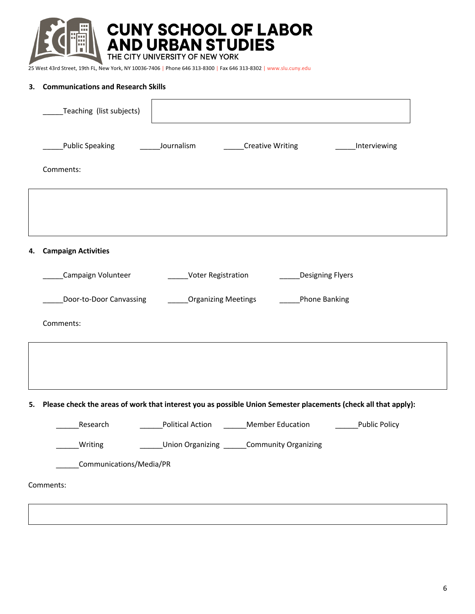

#### **3. Communications and Research Skills**

|    | Teaching (list subjects)                                                                                          |  |
|----|-------------------------------------------------------------------------------------------------------------------|--|
|    | Public Speaking<br>Journalism<br>Creative Writing<br>_____Interviewing                                            |  |
|    | Comments:                                                                                                         |  |
|    |                                                                                                                   |  |
|    |                                                                                                                   |  |
| 4. | <b>Campaign Activities</b>                                                                                        |  |
|    | Campaign Volunteer<br>Voter Registration<br><b>Designing Flyers</b>                                               |  |
|    | Door-to-Door Canvassing<br><b>Organizing Meetings</b><br>Phone Banking                                            |  |
|    | Comments:                                                                                                         |  |
|    |                                                                                                                   |  |
|    |                                                                                                                   |  |
|    | 5. Please check the areas of work that interest you as possible Union Semester placements (check all that apply): |  |
|    | Research<br>Political Action Member Education<br>Public Policy                                                    |  |
|    | Union Organizing ______Community Organizing<br>___Writing                                                         |  |
|    | Communications/Media/PR                                                                                           |  |
|    | Comments:                                                                                                         |  |
|    |                                                                                                                   |  |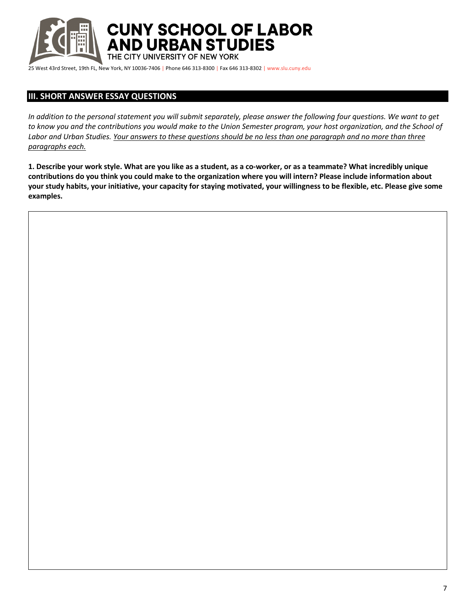

**CUNY SCHOOL OF LABOR** AND URBAN STUDIES

THE CITY UNIVERSITY OF NEW YORK

25 West 43rd Street, 19th FL, New York, NY 10036-7406 | Phone 646 313-8300 | Fax 646 313-8302 | www.slu.cuny.edu

## **III. SHORT ANSWER ESSAY QUESTIONS**

*In addition to the personal statement you will submit separately, please answer the following four questions. We want to get to know you and the contributions you would make to the Union Semester program, your host organization, and the School of Labor and Urban Studies. Your answers to these questions should be no less than one paragraph and no more than three paragraphs each.*

**1. Describe your work style. What are you like as a student, as a co-worker, or as a teammate? What incredibly unique contributions do you think you could make to the organization where you will intern? Please include information about your study habits, your initiative, your capacity for staying motivated, your willingness to be flexible, etc. Please give some examples.**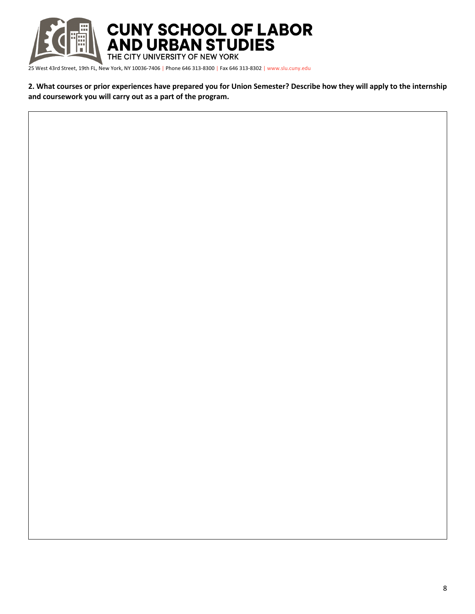

**2. What courses or prior experiences have prepared you for Union Semester? Describe how they will apply to the internship and coursework you will carry out as a part of the program.**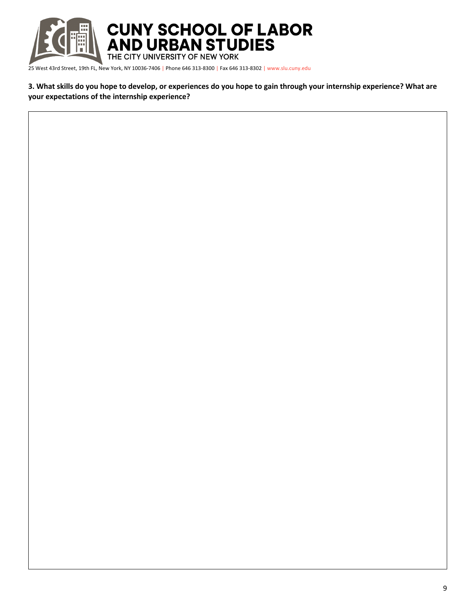

**3. What skills do you hope to develop, or experiences do you hope to gain through your internship experience? What are your expectations of the internship experience?**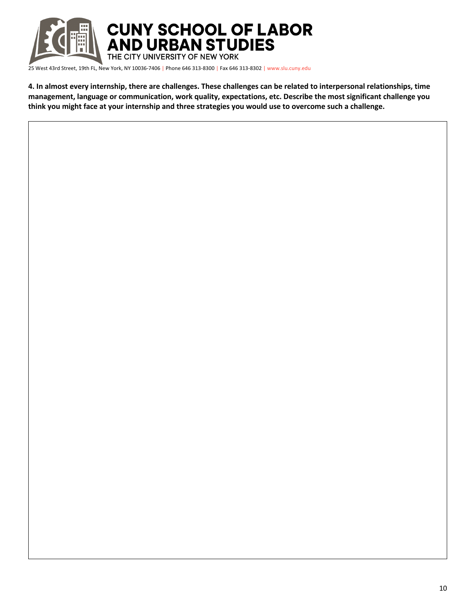

**4. In almost every internship, there are challenges. These challenges can be related to interpersonal relationships, time management, language or communication, work quality, expectations, etc. Describe the most significant challenge you think you might face at your internship and three strategies you would use to overcome such a challenge.**